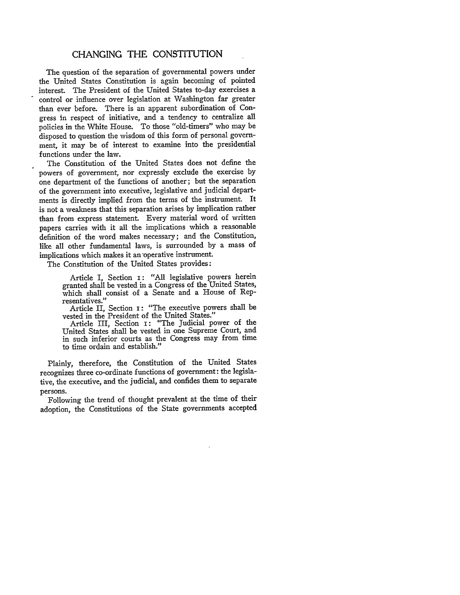## CHANGING THE CONSTITUTION

The question of the separation of governmental powers under the United States Constitution is again becoming of pointed interest. The President of the United States to-day exercises a control or influence over legislation at Washington far greater than ever before. There is an apparent subordination of Congress in respect of initiative, and a tendency to centralize all policies in the White House. To those "old-timers" who may be disposed to question the wisdom of this form of personal government, it may be of interest to examine into the presidential functions under the law.

The Constitution of the United States does not define the powers of government, nor expressly exclude the exercise by one department of the functions of another; but the separation of the government into executive, legislative and judicial departments is directly implied from the terms of the instrument. It is not a weakness that this separation arises by implication rather than from express statement. Every material word of written papers carries with it all the implications which a reasonable definition of the word makes necessary; and the Constitution, like all other fundamental laws, is surrounded by a mass of implications which makes it an operative instrument.

The Constitution of the United States provides:

Article I, Section 1: "All legislative powers herein granted shall be vested in a Congress of the United States, which shall consist of a Senate and a House of Representatives."

Article II, Section i: "The executive powers shall be vested in the President of the United States."

Article III, Section i: "The Judicial power of the United States shall be vested in one Supreme Court, and in such inferior courts as the Congress may from time to time ordain and establish."

Plainly, therefore, the Constitution of the United States recognizes three co-ordinate functions of government: the legislative, the executive, and the judicial, and confides them to separate persons.

Following the trend of thought prevalent at the time of their adoption, the Constitutions of the State governments accepted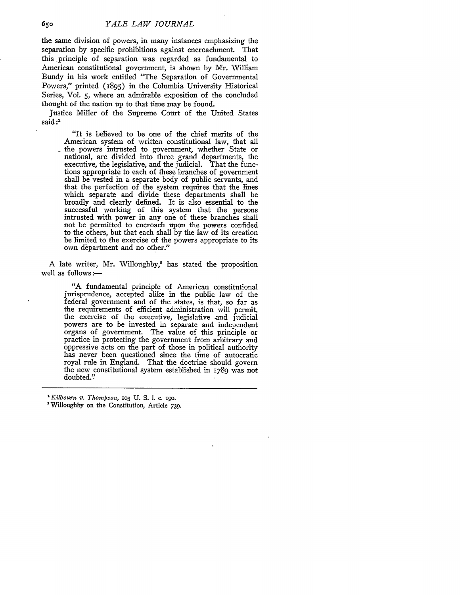the same division of powers, in many instances emphasizing the separation by specific prohibitions against encroachment. That this principle of separation was regarded as fundamental to American constitutional government, is shown by Mr. William Bundy in his work entitled "The Separation of Governmental Powers," printed (1895) in the Columbia University Historical Series, Vol. **5,** where an admirable exposition of the concluded thought of the nation up to that time may be found.

Justice Miller of the Supreme Court of the United States said:<sup>1</sup>

"It is believed to be one of the chief merits of the American system of written constitutional law, that all the powers intrusted to government, whether State or national, are divided into three grand departments, the executive, the legislative, and the judicial. That the functions appropriate to each of these branches of government shall be vested in a separate body of public servants, and that the perfection of the system requires that the lines which separate and divide these departments shall be broadly and clearly defined. It is also essential to the successful working of this system that the persons intrusted with power in any one of these branches shall not be permitted to encroach upon the powers confided to the others, but that each shall by the law of its creation be limited to the exercise of the powers appropriate to its own department and no other."

A late writer, Mr. Willoughby,<sup>2</sup> has stated the proposition well as follows :-

"A fundamental principle of American constitutional jurisprudence, accepted alike in the public law of the federal government and of the states, is that, so far as the requirements of efficient administration will permit, the exercise of the executive, legislative and judicial powers are to be invested in separate and independent organs of government. The value of this principle or practice in protecting the government from arbitrary and oppressive acts on the part of those in political authority has never been questioned since the time of autocratic royal rule in England. That the doctrine should govern the new constitutional system established in 1789 was not doubted."

*<sup>&#</sup>x27;Kilbourn v. Thompson,* io3 **U. S. 1.** c. **I9O.**

<sup>&#</sup>x27;Willoughby on the Constitution, Article 739.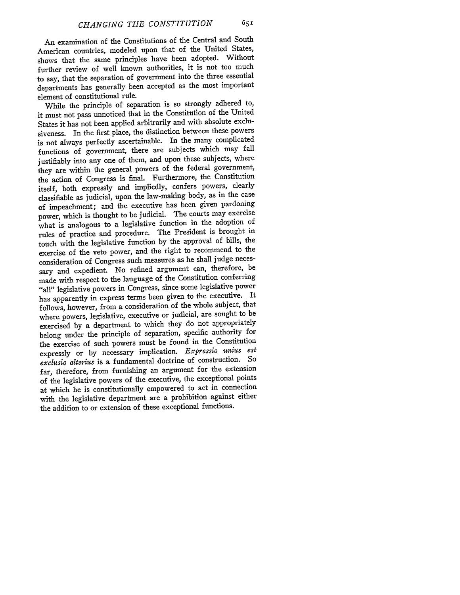An examination of the Constitutions of the Central and South American countries, modeled upon that of the United States, shows that the same principles have been adopted. Without further review of well known authorities, it is not too much to say, that the separation of government into the three essential departments has generally been accepted as the most important element of constitutional rule.

While the principle of separation is so strongly adhered to, it must not pass unnoticed that in the Constitution of the United States it has not been applied arbitrarily and with absolute exclusiveness. In the first place, the distinction between these powers is not always perfectly ascertainable. In the many complicated functions of government, there are subjects which may fall justifiably into any one of them, and upon these subjects, where they are within the general powers of the federal government, the action of Congress is final. Furthermore, the Constitution itself, both expressly and impliedly, confers powers, clearly classifiable as judicial, upon the law-making body, as in the case of impeachment; and the executive has been given pardoning power, which is thought to be judicial. The courts may exercise what is analogous to a legislative function in the adoption of rules of practice and procedure. The President is brought in touch with the legislative function by the approval of bills, the exercise of the veto power, and the right to recommend to the consideration of Congress such measures as he shall judge necessary and expedient. No refined argument can, therefore, be made with respect to the language of the Constitution conferring "all" legislative powers in Congress, since some legislative power has apparently in express terms been given to the executive. It follows, however, from a consideration of the whole subject, that where powers, legislative, executive or judicial, are sought to be exercised by a department to which they do not appropriately belong under the principle of separation, specific authority for the exercise of such powers must be found in the Constitution expressly or by necessary implication. *Expressio unius est exclusio alterius* is a fundamental doctrine of construction. So far, therefore, from furnishing an argument for the extension of the legislative powers of the executive, the exceptional points at which he is constitutionally empowered to act in connection with the legislative department are a prohibition against either the addition to or extension of these exceptional functions.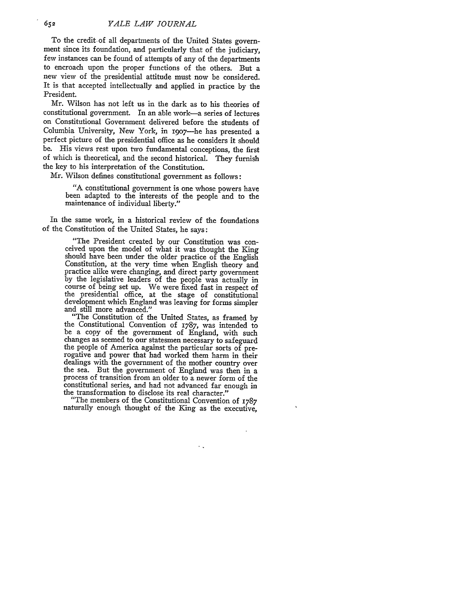To the credit of all departments of the United States government since its foundation, and particularly that of the judiciary, few instances can be found of attempts of any of the departments to encroach upon the proper functions of the others. But a new view of the presidential attitude must now be considered. It is that accepted intellectually and applied in practice by the President.

Mr. Wilson has not left us in the dark as to his theories of constitutional government. In an able work-a series of lectures on Constitutional Government delivered before the students of Columbia University, New York, in 19o7-he has presented a perfect picture of the presidential office as he considers it should be. His views rest upon two fundamental conceptions, the first of which is theoretical, and the second historical. They furnish the key to his interpretation of the Constitution.

Mr. Wilson defines constitutional government as follows:

"A constitutional government is one whose powers have been adapted to the interests of the people and to the maintenance of individual liberty."

In the same work, in a historical review of the foundations of the Constitution of the United States, he says:

> "The President created by our Constitution was conshould have been under the older practice of the English Constitution, at the very time when English theory and practice alike were changing, and direct party government by the legislative leaders of the people was actually in course of being set up. We were fixed fast in respect of the presidential office, at the stage of constitutional development which England was leaving for forms simpler<br>and still more advanced."<br>"The Constitution of the United States, as framed by

> "The Constitution of the United States, as framed by the Constitutional Convention of 1787, was intended to be a copy of the government of England, with such changes as seemed to our statesmen necessary to safeguard the people of America against the particular sorts of pre- rogative and power that had worked them harm in their dealings with the government of the mother country over the sea. But the government of England was then in a process of transition from an older to a newer form of the constitutional series, and had not advanced far enough in the transformation to disclose its real character.'

"The members of the Constitutional Convention of 1787 naturally enough thought of the King as the executive,

÷,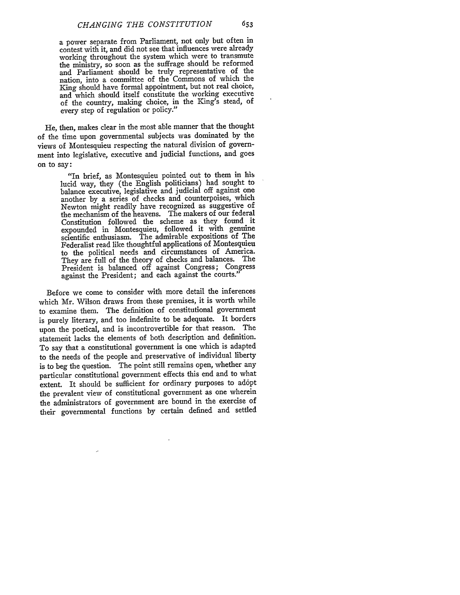a power separate from Parliament, not only but often in contest with it, and did not see that influences were already working throughout the system which were to transmute the ministry, so soon as the suffrage should be reformed and Parliament should be truly representative of the nation, into a committee of the Commons of which the King should have formal appointment, but not real choice, and which should itself constitute the working executive of the country, making choice, in the King's stead, of every step of regulation or policy."

He, then, makes clear in the most able manner that the thought of the time upon governmental subjects was dominated **by** the views of Montesquieu respecting the natural division of government into legislative, executive and judicial functions, and goes on to say:

> "In brief, as Montesquieu pointed out to them in his lucid way, they (the English politicians) had sought to balance executive, legislative and judicial off against one another **by** a series of checks and counterpoises, which Newton might readily have recognized as suggestive of the mechanism of the heavens. The makers of our federal Constitution followed the scheme as they found it expounded in Montesquieu, followed it with genuine scientific enthusiasm. The admirable expositions of The Federalist read like thoughtful applications of Montesquieu to the political needs and circumstances of America. They are full of the theory of checks and balances. The President is balanced off against Congress; Congress against the President; and each against the courts.'

Before we come to consider with more detail the inferences which Mr. Wilson draws from these premises, it is worth while to examine them. The definition of constitutional government is purely literary, and too indefinite to be adequate. It borders upon the poetical, and is incontrovertible for that reason. The statement lacks the elements of both description and definition. To say that a constitutional government is one which is adapted to the needs of the people and preservative of individual liberty is to beg the question. The point still remains open, whether any particular constitutional government effects this end and to what extent. It should be sufficient for ordinary purposes to adopt the prevalent view of constitutional government as one wherein the administrators of government are bound in the exercise of their governmental functions **by** certain defined and settled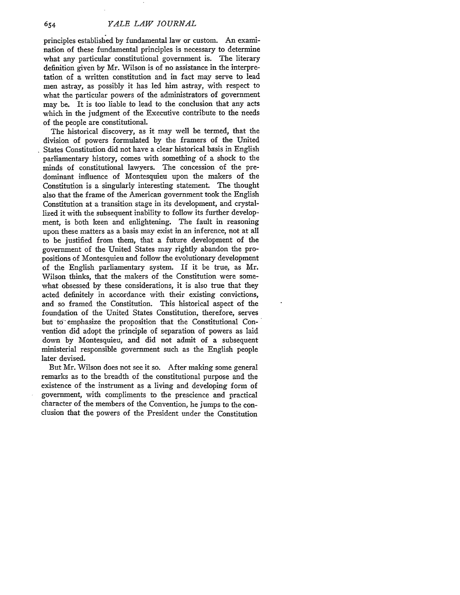principles established **by** fundamental law or custom. An examination of these fundamental principles is necessary to determine what any particular constitutional government is. The literary definition given **by** Mr. Wilson is of no assistance in the interpretation of a written constitution and in fact may serve to lead men astray, as possibly it has led him astray, with respect to what the particular powers of the administrators of government may be. It is too liable to lead to the conclusion that any acts which in the judgment of the Executive contribute to the needs of the people are constitutional.

The historical discovery, as it may well be termed, that the division of powers formulated by the framers of the United States Constitution did not have a clear historical basis in English parliamentary history, comes with something of a shock to the minds of constitutional lawyers. The concession of the predominant influence of Montesquieu upon the makers of the Constitution is a singularly interesting statement. The thought also that the frame of the American government took the English Constitution at a transition stage in its development, and crystallized it with the subsequent inability to follow its further development, is both keen and enlightening. The fault in reasoning upon these matters as a basis may exist in an inference, not at all to be justified from them, that a future development of the government of the United States may rightly abandon the propositions of Montesquieu and follow the evolutionary development of the English parliamentary system. If it be true, as Mr. Wilson thinks, that the makers of the Constitution were somewhat obsessed by these considerations, it is also true that they acted definitely in accordance with their existing convictions, and so framed the Constitution. This historical aspect of the foundation of the United States Constitution, therefore, serves but to-emphasize the proposition that the Constitutional Convention did adopt the principle of separation of powers as laid down by Montesquieu, and did not admit of a subsequent ministerial responsible government such as the English people later devised.

But Mr. Wilson does not see it so. After making some general remarks as to the breadth of the constitutional purpose and the existence of the instrument as a living and developing form of government, with compliments to the prescience and practical character of the members of the Convention, he jumps to the conclusion that the powers of the President under the Constitution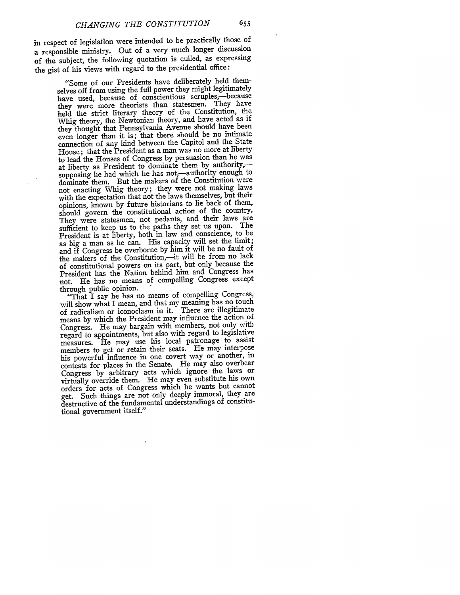in respect of legislation were intended to be practically those of a responsible ministry. Out of a very much longer discussion of the subject, the following quotation is culled, as expressing the gist of his views with regard to the presidential office:

> "Some of our Presidents have deliberately held themselves off from using the full power they might legitimately have used, because of conscientious scruples,--because they were more theorists than statesmen. They have held the strict literary theory of the Constitution, the Whig theory, the Newtonian theory, and have acted as if they thought that Pennsylvania Avenue should have been even longer than it is; that there should be no intimate connection of any kind between the Capitol and the State House; that the President as a man was no more at liberty to lead the Houses of Congress **by** persuasion than he was at liberty as President to dominate them **by** authority, supposing he had which he has not,--authority enough to dominate them. But the makers of the Constitution were not enacting Whig theory; they were not making laws with the expectation that not the laws themselves, but their opinions, known **by** future historians to lie back of them, should govern the constitutional action of the country. They were statesmen, not pedants, and their laws are sufficient to keep us to the paths they set us upon. The President is at liberty, both in law and conscience, to be as big a man as he can. His capacity will set the limit; and if Congress be overborne **by** him it will be no fault of the makers of the Constitution,—it will be from no lack of constitutional powers on its part, but only because the President has the Nation behind him and Congress has not. He has no means of compelling Congress except through public opinion.

"That I say he has no means of compelling Congress, will show what I mean, and that my meaning has no touch of radicalism or iconoclasm in it. There are illegitimate means **by** which the President may influence the action of Congress. He may bargain with members, not only with regard to appointments, but also with regard to legislative measures. He may use his local patronage to assist members to get or retain their seats. He may interpose his powerful influence in one covert way or another, in contests for places in the Senate. He may also overbear Congress **by** arbitrary acts which ignore the laws or virtually override them. He may even substitute his own orders for acts of Congress which he wants but cannot get. Such things are not only deeply immoral, they are destructive of the fundamental understandings of constitutional government itself."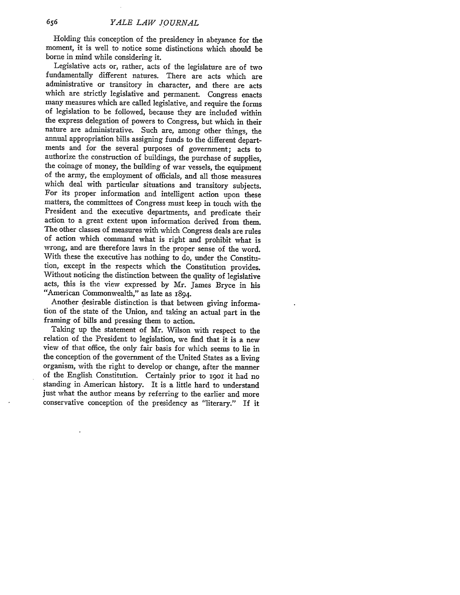Holding this conception of the presidency in abeyance for the moment, it is well to notice some distinctions which should be borne in mind while considering it.

Legislative acts or, rather, acts of the legislature are of two fundamentally different natures. There are acts which are administrative or transitory in character, and there are acts which are strictly legislative and permanent. Congress enacts many measures which are called legislative, and require the forms of legislation to be followed, because they are included within the express delegation of powers to Congress, but which in their nature are administrative. Such are, among other things, the annual appropriation bills assigning funds to the different departments and for the several purposes of government; acts to authorize the construction of buildings, the purchase of supplies, the coinage of money, the building of war vessels, the equipment of the army, the employment of officials, and all those measures which deal with particular situations and transitory subjects. For its proper information and intelligent action upon these matters, the committees of Congress must keep in touch with the President and the executive departments, and predicate their action to a great extent upon information derived from them. The other classes of measures with which Congress deals are rules of action which command what is right and prohibit what is wrong, and are therefore laws in the proper sense of the word. With these the executive has nothing to do, under the Constitution, except in the respects which the Constitution provides. Without noticing the distinction between the quality of legislative acts, this is the view expressed by Mr. James Bryce in his "American Commonwealth," as late as 1894.

Another desirable distinction is that between giving information of the state of the Union, and taking an actual part in the framing of bills and pressing them to action.

Taking up the statement of Mr. Wilson with respect to the relation of the President to legislation, we find that it is a new view of that office, the only fair basis for which seems to lie in the conception of the government of the United States as a living organism, with the right to develop or change, after the manner of the English Constitution. Certainly prior to **19O1** it had no standing in American history. It is a little hard to understand just what the author means by referring to the earlier and more conservative conception of the presidency as "literary." If it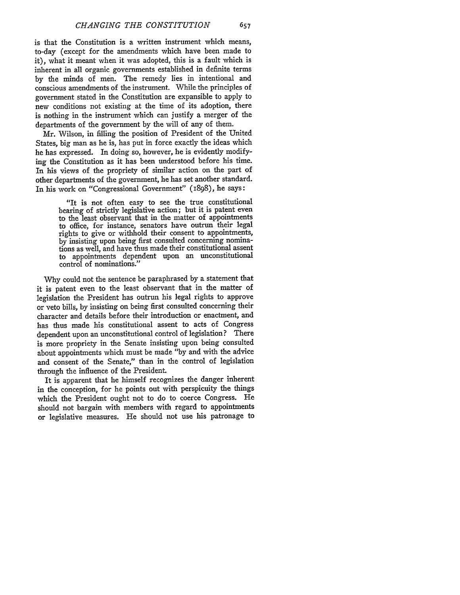is that the Constitution is a written instrument which means, to-day (except for the amendments which have been made to it), what it meant when it was adopted, this is a fault which is inherent in all organic governments established in definite terms by the minds of men. The remedy lies in intentional and conscious amendments of the instrument. While the principles of government stated in the Constitution are expansible to apply to new conditions not existing at the time of its adoption, there is nothing in the instrument which can justify a merger of the departments of the government by the will of any of them.

Mr. Wilson, in filling the position of President of the United States, big man as he is, has put in force exactly the ideas which he has expressed. In doing so, however, he is evidently modifying the Constitution as it has been understood before his time. In his views of the propriety of similar action on the part of other departments of the government, he has set another standard. In his work on "Congressional Government" (1898), he says:

> "It is not often easy to see the true constitutional bearing of strictly legislative action; but it is patent even to the least observant that in the matter of appointments to office, for instance, senators have outrun their legal rights to give or withhold their consent to appointments, by insisting upon being first consulted concerning nominations as well, and have thus made their constitutional assent to appointments dependent upon an unconstitutional control of nominations."

Why could not the sentence be paraphrased by a statement that it is patent even to the least observant that in the matter of legislation the President has outrun his legal rights to approve or veto bills, by insisting on being first consulted concerning their character and details before their introduction or enactment, and has thus made his constitutional assent to acts of Congress dependent upon an unconstitutional control of legislation? There is more propriety in the Senate insisting upon being consulted about appointments which must be made "by and with the advice and consent of the Senate," than in the control of legislation through the influence of the President.

It is apparent that he himself recognizes the danger inherent in the conception, for he points out with perspicuity the things which the President ought not to do to coerce Congress. He should not bargain with members with regard to appointments or legislative measures. He should not use his patronage to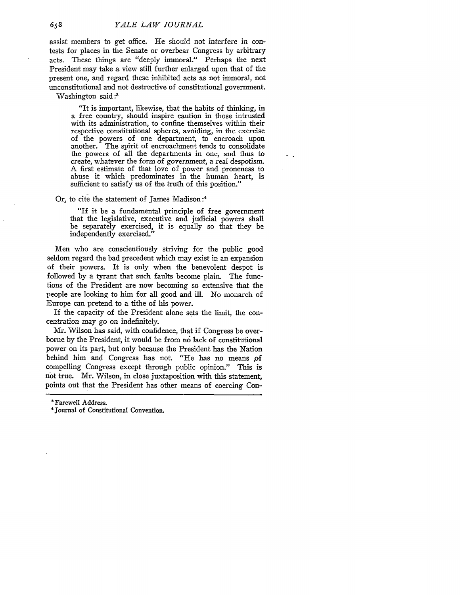assist members to get office. He should not interfere in contests for places in the Senate or overbear Congress **by** arbitrary acts. These things are "deeply immoral." Perhaps the next President may take a view still further enlarged upon that of the present one, and regard these inhibited acts as not immoral, not unconstitutional and not destructive of constitutional government.

Washington said:<sup>3</sup>

"It is important, likewise, that the habits of thinking, in a free country, should inspire caution in those intrusted with its administration, to confine themselves within their respective constitutional spheres, avoiding, in the exercise of the powers of one department, to encroach upon another. The spirit of encroachment tends to consolidate the powers of all the departments in one, and thus to create, whatever the form of government, a real despotism. **A** first estimate of that love of power and proneness to abuse it which predominates in the human heart, is sufficient to satisfy us of the truth of this position."

Or, to cite the statement of James Madison :4

"If it be a fundamental principle of free government that the legislative, executive and judicial powers shall be separately exercised, it is equally so that they be independently exercised."

Men who are conscientiously striving for the public good seldom regard the bad precedent which may exist in an expansion of their powers. It is only when the benevolent despot is followed **by** a tyrant that such faults become plain. The functions of the President are now becoming so extensive that the people are looking to him for all good and ill. No monarch of Europe can pretend to a tithe of his power.

If the capacity of the President alone sets the limit, the concentration may go on indefinitely.

Mr. Wilson has said, with confidence, that if Congress be overborne by the President, it would be from no lack of constitutional power on its part, but only because the President has the Nation behind him and Congress has not. "He has no means of compelling Congress except through public opinion." This is not true. Mr. Wilson, in close juxtaposition with this statement, points out that the President has other means of coercing Con-

'Farewell Address.

'Journal of Constitutional Convention.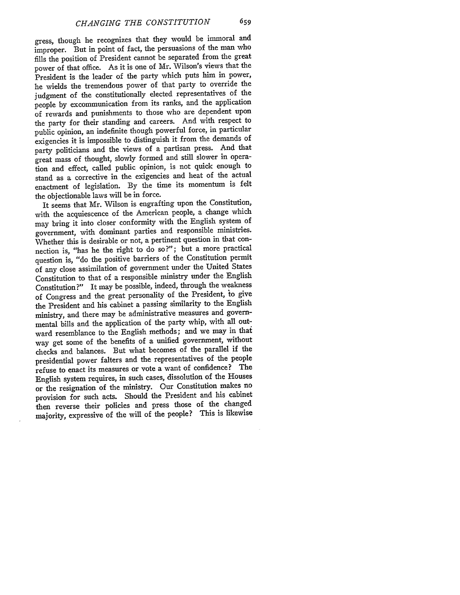gress, though he recognizes that they would be immoral and improper. But in point of fact, the persuasions of the man who fills the position of President cannot be separated from the great power of that office. As it is one of Mr. Wilson's views that the President is the leader of the party which puts him in power, he wields the tremendous power of that party to override the judgment of the constitutionally elected representatives of the people by excommunication from its ranks, and the application of rewards and punishments to those who are dependent upon the party for their standing and careers. And with respect to public opinion, an indefinite though powerful force, in particular exigencies it is impossible to distinguish it from the demands of party politicians and the views of a partisan press. And that great mass of thought, slowly formed and still slower in operation and effect, called public opinion, is not quick enough to stand as a corrective in the exigencies and heat of the actual enactment of legislation. By the time its momentum is felt the objectionable laws will be in force.

It seems that Mr. Wilson is engrafting upon the Constitution, with the acquiescence of the American people, a change which may bring it into closer conformity with the English system of government, with dominant parties and responsible ministries. Whether this is desirable or not, a pertinent question in that connection is, "has he the right to do so?"; but a more practical question is, "do the positive barriers of the Constitution permit of any close assimilation of government under the United States Constitution to that of a responsible ministry under the English Constitution?" It may be possible, indeed, through the weakness of Congress and the great personality of the President, to give the President and his cabinet a passing similarity to the English ministry, and there may be administrative measures and governmental bills and the application of the party whip, with all outward resemblance to the English methods; and we may in that way get some of the benefits of a unified government, without checks and balances. But what becomes of the parallel if the presidential power falters and the representatives of the people refuse to enact its measures or vote a want of confidence? The English system requires, in such cases, dissolution of the Houses or the resignation of the ministry. Our Constitution makes no provision for such acts. Should the President and his cabinet then reverse their policies and press those of the changed majority, expressive of the will of the people? This is likewise